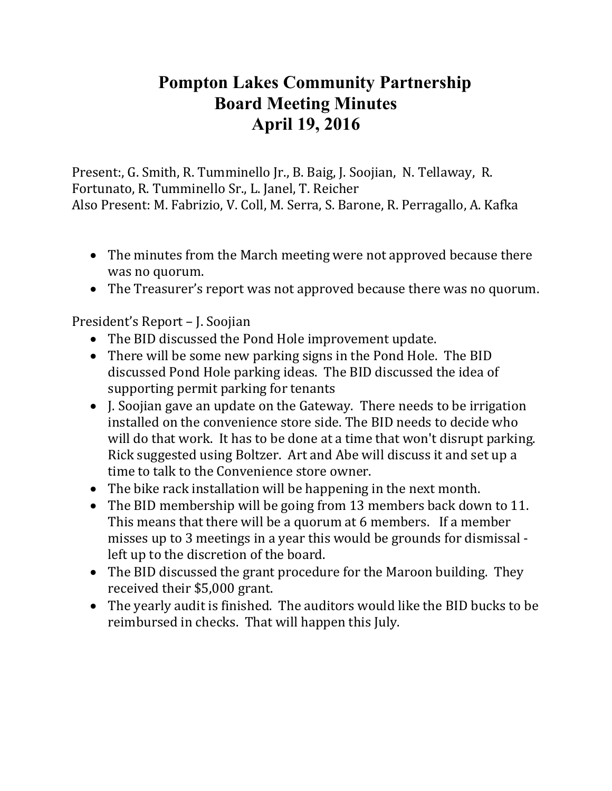## **Pompton Lakes Community Partnership Board Meeting Minutes April 19, 2016**

Present:, G. Smith, R. Tumminello Jr., B. Baig, J. Soojian, N. Tellaway, R. Fortunato, R. Tumminello Sr., L. Janel, T. Reicher Also Present: M. Fabrizio, V. Coll, M. Serra, S. Barone, R. Perragallo, A. Kafka

- The minutes from the March meeting were not approved because there was no quorum.
- The Treasurer's report was not approved because there was no quorum.

President's Report – J. Soojian

- The BID discussed the Pond Hole improvement update.
- There will be some new parking signs in the Pond Hole. The BID discussed Pond Hole parking ideas. The BID discussed the idea of supporting permit parking for tenants
- I. Soojian gave an update on the Gateway. There needs to be irrigation installed on the convenience store side. The BID needs to decide who will do that work. It has to be done at a time that won't disrupt parking. Rick suggested using Boltzer. Art and Abe will discuss it and set up a time to talk to the Convenience store owner.
- The bike rack installation will be happening in the next month.
- The BID membership will be going from 13 members back down to 11. This means that there will be a quorum at 6 members. If a member misses up to 3 meetings in a year this would be grounds for dismissal left up to the discretion of the board.
- The BID discussed the grant procedure for the Maroon building. They received their \$5,000 grant.
- The yearly audit is finished. The auditors would like the BID bucks to be reimbursed in checks. That will happen this July.